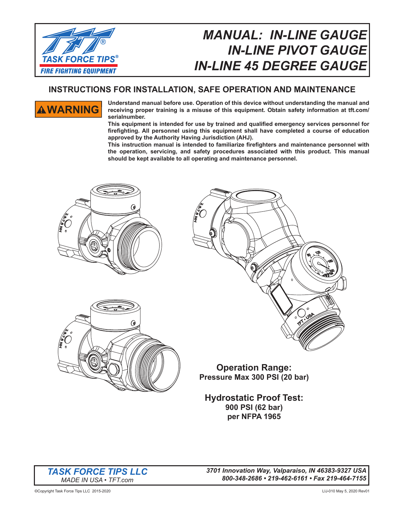

## *MANUAL: IN-LINE GAUGE IN-LINE PIVOT GAUGE IN-LINE 45 DEGREE GAUGE*

### **INSTRUCTIONS FOR INSTALLATION, SAFE OPERATION AND MAINTENANCE**



**WARNING** Understand manual before use. Operation of this device without understanding the manual and receiving proper training is a misuse of this equipment. Obtain safety information at tft.com/ **serialnumber.**

This equipment is intended for use by trained and qualified emergency services personnel for **fi refi ghting. All personnel using this equipment shall have completed a course of education approved by the Authority Having Jurisdiction (AHJ).**

**This instruction manual is intended to familiarize fi refi ghters and maintenance personnel with the operation, servicing, and safety procedures associated with this product. This manual should be kept available to all operating and maintenance personnel.**







**Operation Range: Pressure Max 300 PSI (20 bar)**

**Hydrostatic Proof Test: 900 PSI (62 bar) per NFPA 1965**



*3701 Innovation Way, Valparaiso, IN 46383-9327 USA 800-348-2686 • 219-462-6161 • Fax 219-464-7155*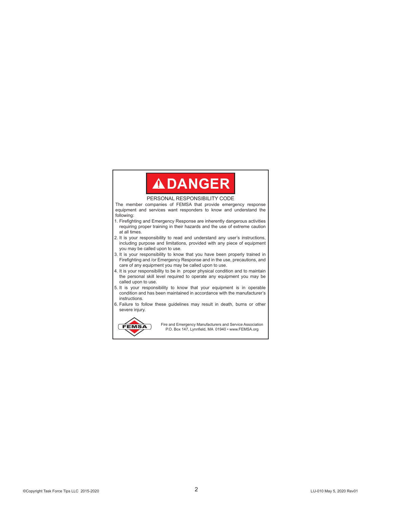# **ADANGER**

#### PERSONAL RESPONSIBILITY CODE

The member companies of FEMSA that provide emergency response equipment and services want responders to know and understand the following:

- 1. Firefighting and Emergency Response are inherently dangerous activities requiring proper training in their hazards and the use of extreme caution at all times.
- 2. It is your responsibility to read and understand any user's instructions, including purpose and limitations, provided with any piece of equipment you may be called upon to use.
- 3. It is your responsibility to know that you have been properly trained in Firefighting and /or Emergency Response and in the use, precautions, and care of any equipment you may be called upon to use.
- 4. It is your responsibility to be in proper physical condition and to maintain the personal skill level required to operate any equipment you may be called upon to use.
- 5. It is your responsibility to know that your equipment is in operable condition and has been maintained in accordance with the manufacturer's instructions.
- 6. Failure to follow these guidelines may result in death, burns or other severe injury.



Fire and Emergency Manufacturers and Service Association<br>
REMSA Research Manufacturers and Service Association P.O. Box 147, Lynnfield, MA 01940 • www.FEMSA.org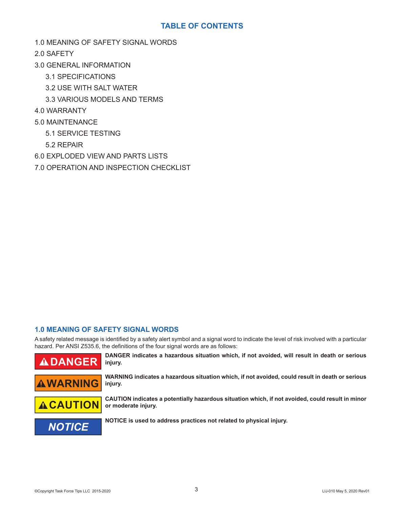#### **TABLE OF CONTENTS**

1.0 MEANING OF SAFETY SIGNAL WORDS

2.0 SAFETY

- 3.0 GENERAL INFORMATION
	- 3.1 SPECIFICATIONS
	- 3.2 USE WITH SALT WATER
	- 3.3 VARIOUS MODELS AND TERMS
- 4.0 WARRANTY
- 5.0 MAINTENANCE
	- 5.1 SERVICE TESTING
	- 5.2 REPAIR
- 6.0 EXPLODED VIEW AND PARTS LISTS
- 7.0 OPERATION AND INSPECTION CHECKLIST

#### **1.0 MEANING OF SAFETY SIGNAL WORDS**

A safety related message is identified by a safety alert symbol and a signal word to indicate the level of risk involved with a particular hazard. Per ANSI Z535.6, the definitions of the four signal words are as follows:



**ADANGER** DANGER indicates a hazardous situation which, if not avoided, will result in death or serious injury. **injury.**



**WARNING WARNING** indicates a hazardous situation which, if not avoided, could result in death or serious **AWARNING injury.**



**CAUTION** CAUTION indicates a potentially hazardous situation which, if not avoided, could result in minor<br> **ACAUTION** or moderate injury. **or moderate injury.**



**NOTICE** NOTICE is used to address practices not related to physical injury.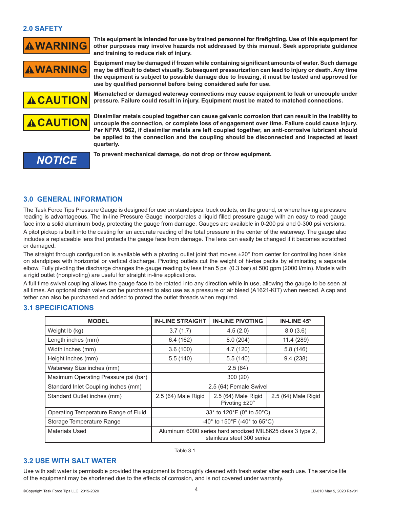#### **2.0 SAFETY**



**WARNING** This equipment is intended for use by trained personnel for firefighting. Use of this equipment for **WARNING** other purposes may involve hazards not addressed by this manual. Seek appropriate guidance **and training to reduce risk of injury.**

**WARNING** Equipment may be damaged if frozen while containing significant amounts of water. Such damage<br>WARNING may be difficult to detect visually. Subsequent pressurization can lead to injury or death. Any time **the equipment is subject to possible damage due to freezing, it must be tested and approved for use by qualifi ed personnel before being considered safe for use.**



**CAUTION** Mismatched or damaged waterway connections may cause equipment to leak or uncouple under<br>**CAUTION** pressure. Failure could result in injury. Equipment must be mated to matched connections.



**CAUTION** Dissimilar metals coupled together can cause galvanic corrosion that can result in the inability to uncouple the connection, or complete loss of engagement over time. Failure could cause injury. **Per NFPA 1962, if dissimilar metals are left coupled together, an anti-corrosive lubricant should be applied to the connection and the coupling should be disconnected and inspected at least quarterly.**

*NOTICE* **To prevent mechanical damage, do not drop or throw equipment.**

#### **3.0 GENERAL INFORMATION**

The Task Force Tips Pressure Gauge is designed for use on standpipes, truck outlets, on the ground, or where having a pressure reading is advantageous. The In-line Pressure Gauge incorporates a liquid filled pressure gauge with an easy to read gauge face into a solid aluminum body, protecting the gauge from damage. Gauges are available in 0-200 psi and 0-300 psi versions.

A pitot pickup is built into the casting for an accurate reading of the total pressure in the center of the waterway. The gauge also includes a replaceable lens that protects the gauge face from damage. The lens can easily be changed if it becomes scratched or damaged.

The straight through configuration is available with a pivoting outlet joint that moves  $\pm 20^\circ$  from center for controlling hose kinks on standpipes with horizontal or vertical discharge. Pivoting outlets cut the weight of hi-rise packs by eliminating a separate elbow. Fully pivoting the discharge changes the gauge reading by less than 5 psi (0.3 bar) at 500 gpm (2000 l/min). Models with a rigid outlet (nonpivoting) are useful for straight in-line applications.

A full time swivel coupling allows the gauge face to be rotated into any direction while in use, allowing the gauge to be seen at all times. An optional drain valve can be purchased to also use as a pressure or air bleed (A1621-KIT) when needed. A cap and tether can also be purchased and added to protect the outlet threads when required.

#### **3.1 SPECIFICATIONS**

| <b>MODEL</b>                         | <b>IN-LINE STRAIGHT</b>                                                                  | <b>IN-LINE PIVOTING</b>              | IN-LINE 45°         |
|--------------------------------------|------------------------------------------------------------------------------------------|--------------------------------------|---------------------|
| Weight lb (kg)                       | 3.7(1.7)                                                                                 | 4.5(2.0)                             | 8.0(3.6)            |
| Length inches (mm)                   | 6.4(162)                                                                                 | 8.0(204)                             | 11.4 (289)          |
| Width inches (mm)                    | 3.6(100)                                                                                 | 4.7 (120)                            | 5.8(146)            |
| Height inches (mm)                   | 5.5(140)                                                                                 | 5.5(140)                             | 9.4(238)            |
| Waterway Size inches (mm)            | 2.5(64)                                                                                  |                                      |                     |
| Maximum Operating Pressure psi (bar) | 300 (20)                                                                                 |                                      |                     |
| Standard Inlet Coupling inches (mm)  | 2.5 (64) Female Swivel                                                                   |                                      |                     |
| Standard Outlet inches (mm)          | 2.5 (64) Male Rigid                                                                      | 2.5 (64) Male Rigid<br>Pivoting ±20° | 2.5 (64) Male Rigid |
| Operating Temperature Range of Fluid | 33° to 120°F (0° to 50°C)                                                                |                                      |                     |
| Storage Temperature Range            | -40° to 150°F (-40° to 65°C)                                                             |                                      |                     |
| Materials Used                       | Aluminum 6000 series hard anodized MIL8625 class 3 type 2.<br>stainless steel 300 series |                                      |                     |

Table 3.1

#### **3.2 USE WITH SALT WATER**

Use with salt water is permissible provided the equipment is thoroughly cleaned with fresh water after each use. The service life of the equipment may be shortened due to the effects of corrosion, and is not covered under warranty.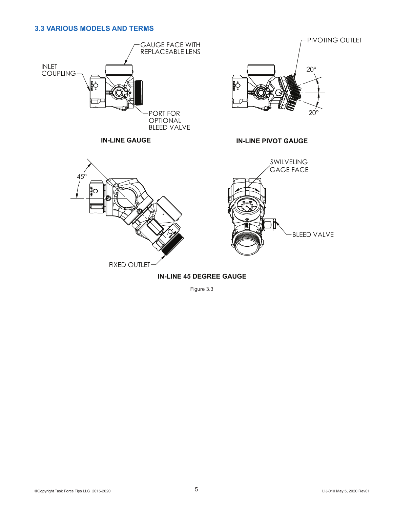#### **3.3 VARIOUS MODELS AND TERMS**





**IN-LINE GAUGE IN-LINE PIVOT GAUGE**



Figure 3.3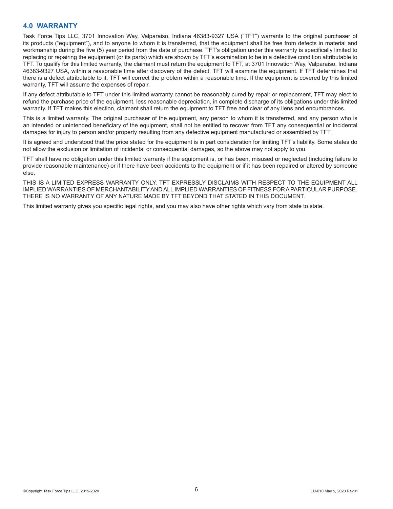#### **4.0 WARRANTY**

Task Force Tips LLC, 3701 Innovation Way, Valparaiso, Indiana 46383-9327 USA ("TFT") warrants to the original purchaser of its products ("equipment"), and to anyone to whom it is transferred, that the equipment shall be free from defects in material and workmanship during the five (5) year period from the date of purchase. TFT's obligation under this warranty is specifically limited to replacing or repairing the equipment (or its parts) which are shown by TFT's examination to be in a defective condition attributable to TFT. To qualify for this limited warranty, the claimant must return the equipment to TFT, at 3701 Innovation Way, Valparaiso, Indiana 46383-9327 USA, within a reasonable time after discovery of the defect. TFT will examine the equipment. If TFT determines that there is a defect attributable to it, TFT will correct the problem within a reasonable time. If the equipment is covered by this limited warranty, TFT will assume the expenses of repair.

If any defect attributable to TFT under this limited warranty cannot be reasonably cured by repair or replacement, TFT may elect to refund the purchase price of the equipment, less reasonable depreciation, in complete discharge of its obligations under this limited warranty. If TFT makes this election, claimant shall return the equipment to TFT free and clear of any liens and encumbrances.

This is a limited warranty. The original purchaser of the equipment, any person to whom it is transferred, and any person who is an intended or unintended beneficiary of the equipment, shall not be entitled to recover from TFT any consequential or incidental damages for injury to person and/or property resulting from any defective equipment manufactured or assembled by TFT.

It is agreed and understood that the price stated for the equipment is in part consideration for limiting TFT's liability. Some states do not allow the exclusion or limitation of incidental or consequential damages, so the above may not apply to you.

TFT shall have no obligation under this limited warranty if the equipment is, or has been, misused or neglected (including failure to provide reasonable maintenance) or if there have been accidents to the equipment or if it has been repaired or altered by someone else.

THIS IS A LIMITED EXPRESS WARRANTY ONLY. TFT EXPRESSLY DISCLAIMS WITH RESPECT TO THE EQUIPMENT ALL IMPLIED WARRANTIES OF MERCHANTABILITY AND ALL IMPLIED WARRANTIES OF FITNESS FOR A PARTICULAR PURPOSE. THERE IS NO WARRANTY OF ANY NATURE MADE BY TFT BEYOND THAT STATED IN THIS DOCUMENT.

This limited warranty gives you specific legal rights, and you may also have other rights which vary from state to state.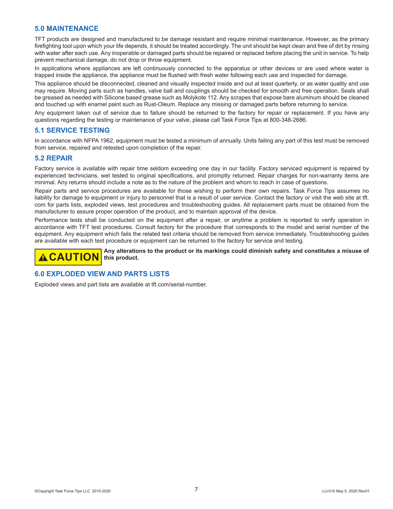#### **5.0 MAINTENANCE**

TFT products are designed and manufactured to be damage resistant and require minimal maintenance. However, as the primary firefighting tool upon which your life depends, it should be treated accordingly. The unit should be kept clean and free of dirt by rinsing with water after each use. Any inoperable or damaged parts should be repaired or replaced before placing the unit in service. To help prevent mechanical damage, do not drop or throw equipment.

In applications where appliances are left continuously connected to the apparatus or other devices or are used where water is trapped inside the appliance, the appliance must be flushed with fresh water following each use and inspected for damage.

This appliance should be disconnected, cleaned and visually inspected inside and out at least quarterly, or as water quality and use may require. Moving parts such as handles, valve ball and couplings should be checked for smooth and free operation. Seals shall be greased as needed with Silicone based grease such as Molykote 112. Any scrapes that expose bare aluminum should be cleaned and touched up with enamel paint such as Rust-Oleum. Replace any missing or damaged parts before returning to service.

Any equipment taken out of service due to failure should be returned to the factory for repair or replacement. If you have any questions regarding the testing or maintenance of your valve, please call Task Force Tips at 800-348-2686.

#### **5.1 SERVICE TESTING**

In accordance with NFPA 1962, equipment must be tested a minimum of annually. Units failing any part of this test must be removed from service, repaired and retested upon completion of the repair.

#### **5.2 REPAIR**

Factory service is available with repair time seldom exceeding one day in our facility. Factory serviced equipment is repaired by experienced technicians, wet tested to original specifications, and promptly returned. Repair charges for non-warranty items are minimal. Any returns should include a note as to the nature of the problem and whom to reach in case of questions.

Repair parts and service procedures are available for those wishing to perform their own repairs. Task Force Tips assumes no liability for damage to equipment or injury to personnel that is a result of user service. Contact the factory or visit the web site at tft. com for parts lists, exploded views, test procedures and troubleshooting guides. All replacement parts must be obtained from the manufacturer to assure proper operation of the product, and to maintain approval of the device.

Performance tests shall be conducted on the equipment after a repair, or anytime a problem is reported to verify operation in accordance with TFT test procedures. Consult factory for the procedure that corresponds to the model and serial number of the equipment. Any equipment which fails the related test criteria should be removed from service immediately. Troubleshooting guides are available with each test procedure or equipment can be returned to the factory for service and testing.

**A CAUTION** Any alterations to the product or its markings could diminish safety and constitutes a misuse of **A this product.**

#### **6.0 EXPLODED VIEW AND PARTS LISTS**

Exploded views and part lists are available at tft.com/serial-number.